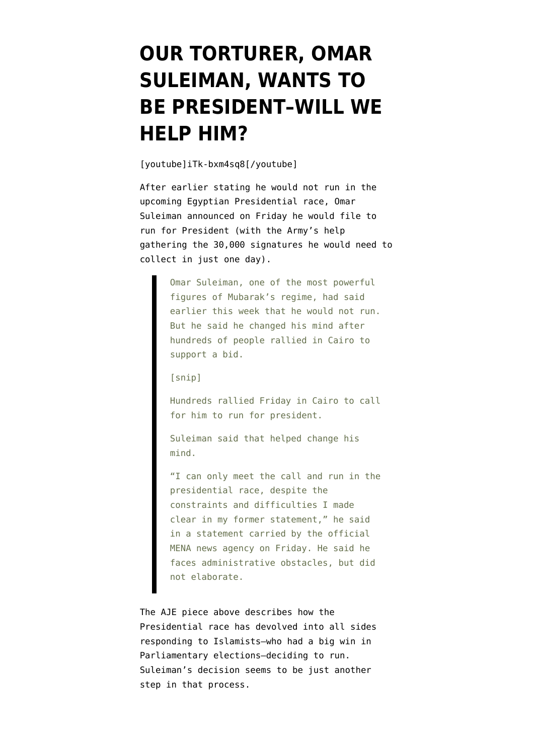## **[OUR TORTURER, OMAR](https://www.emptywheel.net/2012/04/08/our-torturer-omar-suleiman-wants-to-be-president-will-we-help-him/) [SULEIMAN, WANTS TO](https://www.emptywheel.net/2012/04/08/our-torturer-omar-suleiman-wants-to-be-president-will-we-help-him/) [BE PRESIDENT–WILL WE](https://www.emptywheel.net/2012/04/08/our-torturer-omar-suleiman-wants-to-be-president-will-we-help-him/) [HELP HIM?](https://www.emptywheel.net/2012/04/08/our-torturer-omar-suleiman-wants-to-be-president-will-we-help-him/)**

[youtube]iTk-bxm4sq8[/youtube]

After earlier stating he would not run in the upcoming Egyptian Presidential race, Omar Suleiman [announced](http://www.huffingtonpost.com/2012/04/06/omar-suleiman-president_n_1408537.html) on Friday he would file to run for President (with the Army's help gathering the 30,000 signatures he would need to collect in just one day).

> Omar Suleiman, one of the most powerful figures of Mubarak's regime, had said earlier this week that he would not run. But he said he changed his mind after hundreds of people rallied in Cairo to support a bid.

[snip]

Hundreds rallied Friday in Cairo to call for him to run for president.

Suleiman said that helped change his mind.

"I can only meet the call and run in the presidential race, despite the constraints and difficulties I made clear in my former statement," he said in a statement carried by the official MENA news agency on Friday. He said he faces administrative obstacles, but did not elaborate.

The AJE piece above describes how the Presidential race has devolved into all sides responding to Islamists–who had a big win in Parliamentary elections–deciding to run. Suleiman's decision [seems to be](http://news.yahoo.com/omar-suleiman-mubaraks-no-2-enters-egypts-presidential-191637834.html) just another step in that process.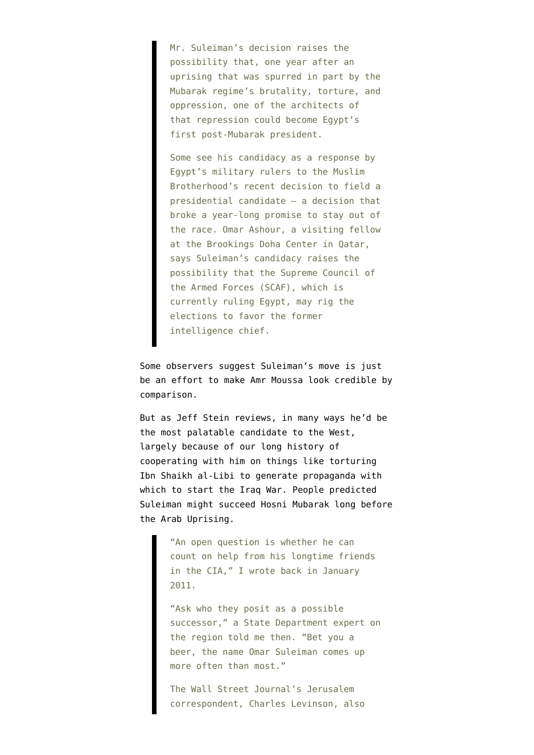Mr. Suleiman's decision raises the possibility that, one year after an uprising that was spurred in part by the Mubarak regime's brutality, torture, and oppression, one of the architects of that repression could become Egypt's first post-Mubarak president.

Some see his candidacy as a response by Egypt's military rulers to the Muslim Brotherhood's recent decision to field a presidential candidate – a decision that broke a year-long promise to stay out of the race. Omar Ashour, a visiting fellow at the Brookings Doha Center in Qatar, says Suleiman's candidacy raises the possibility that the Supreme Council of the Armed Forces (SCAF), which is currently ruling Egypt, may rig the elections to favor the former intelligence chief.

Some observers suggest Suleiman's move is just be an effort to make Amr Moussa look credible by comparison.

But as Jeff Stein [reviews,](http://spytalkblog.blogspot.com/2012/04/cias-man-in-cairo-emerges-in-egypt.html) in many ways he'd be the most palatable candidate to the West, largely because of our long history of cooperating with him on things like torturing Ibn Shaikh al-Libi to generate propaganda with which to start the Iraq War. People predicted Suleiman might succeed Hosni Mubarak long before the Arab Uprising.

> "An open question is whether he can count on help from his longtime friends in the CIA," I wrote back in January 2011.

"Ask who they posit as a possible successor," a State Department expert on the region told me then. "Bet you a beer, the name Omar Suleiman comes up more often than most."

The Wall Street Journal's Jerusalem correspondent, Charles Levinson, also